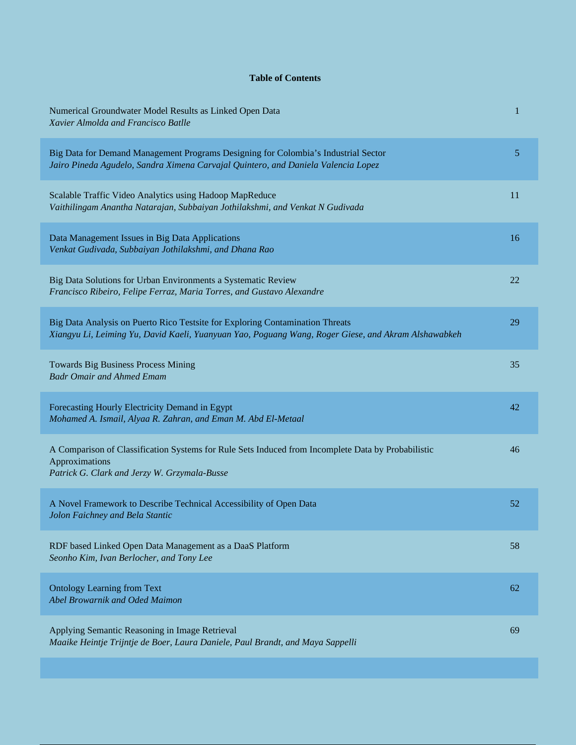## **Table of Contents**

| Numerical Groundwater Model Results as Linked Open Data<br>Xavier Almolda and Francisco Batlle                                                                                       | 1  |
|--------------------------------------------------------------------------------------------------------------------------------------------------------------------------------------|----|
| Big Data for Demand Management Programs Designing for Colombia's Industrial Sector<br>Jairo Pineda Agudelo, Sandra Ximena Carvajal Quintero, and Daniela Valencia Lopez              | 5  |
| Scalable Traffic Video Analytics using Hadoop MapReduce<br>Vaithilingam Anantha Natarajan, Subbaiyan Jothilakshmi, and Venkat N Gudivada                                             | 11 |
| Data Management Issues in Big Data Applications<br>Venkat Gudivada, Subbaiyan Jothilakshmi, and Dhana Rao                                                                            | 16 |
| Big Data Solutions for Urban Environments a Systematic Review<br>Francisco Ribeiro, Felipe Ferraz, Maria Torres, and Gustavo Alexandre                                               | 22 |
| Big Data Analysis on Puerto Rico Testsite for Exploring Contamination Threats<br>Xiangyu Li, Leiming Yu, David Kaeli, Yuanyuan Yao, Poguang Wang, Roger Giese, and Akram Alshawabkeh | 29 |
| Towards Big Business Process Mining<br><b>Badr Omair and Ahmed Emam</b>                                                                                                              | 35 |
| Forecasting Hourly Electricity Demand in Egypt<br>Mohamed A. Ismail, Alyaa R. Zahran, and Eman M. Abd El-Metaal                                                                      | 42 |
| A Comparison of Classification Systems for Rule Sets Induced from Incomplete Data by Probabilistic<br>Approximations<br>Patrick G. Clark and Jerzy W. Grzymala-Busse                 | 46 |
| A Novel Framework to Describe Technical Accessibility of Open Data<br>Jolon Faichney and Bela Stantic                                                                                | 52 |
| RDF based Linked Open Data Management as a DaaS Platform<br>Seonho Kim, Ivan Berlocher, and Tony Lee                                                                                 | 58 |
| <b>Ontology Learning from Text</b><br>Abel Browarnik and Oded Maimon                                                                                                                 | 62 |
| Applying Semantic Reasoning in Image Retrieval<br>Maaike Heintje Trijntje de Boer, Laura Daniele, Paul Brandt, and Maya Sappelli                                                     | 69 |